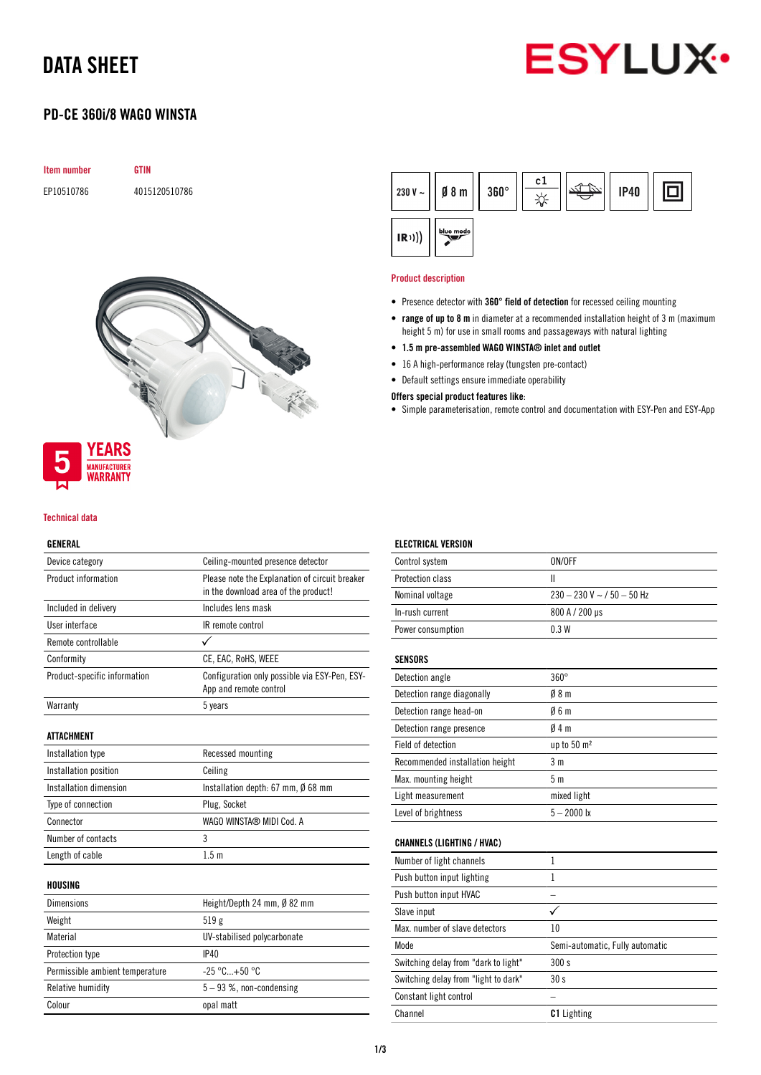# DATA SHEET

# **ESYLUX**

# PD-CE 360i/8 WAGO WINSTA





# **MANUFACTURER** *NARRANTY*

## Technical data

## GENERAL

| ucnenal                         |                                                                                        |  |
|---------------------------------|----------------------------------------------------------------------------------------|--|
| Device category                 | Ceiling-mounted presence detector                                                      |  |
| Product information             | Please note the Explanation of circuit breaker<br>in the download area of the product! |  |
| Included in delivery            | Includes lens mask                                                                     |  |
| User interface                  | IR remote control                                                                      |  |
| Remote controllable             |                                                                                        |  |
| Conformity                      | CE, EAC, RoHS, WEEE                                                                    |  |
| Product-specific information    | Configuration only possible via ESY-Pen, ESY-<br>App and remote control                |  |
| Warranty                        | 5 years                                                                                |  |
| ATTACHMENT                      |                                                                                        |  |
| Installation type               | Recessed mounting                                                                      |  |
| Installation position           | Ceiling                                                                                |  |
| Installation dimension          | Installation depth: $67$ mm, $\emptyset$ 68 mm                                         |  |
| Type of connection              | Plug, Socket                                                                           |  |
| Connector                       | WAGO WINSTA® MIDI Cod. A                                                               |  |
| Number of contacts              | 3                                                                                      |  |
| Length of cable                 | 1.5 <sub>m</sub>                                                                       |  |
| HOUSING                         |                                                                                        |  |
| <b>Dimensions</b>               | Height/Depth 24 mm, Ø 82 mm                                                            |  |
| Weight                          | 519g                                                                                   |  |
| Material                        | UV-stabilised polycarbonate                                                            |  |
| Protection type                 | <b>IP40</b>                                                                            |  |
| Permissible ambient temperature | $-25 °C+50 °C$                                                                         |  |
| <b>Relative humidity</b>        | 5-93 %, non-condensing                                                                 |  |

Colour colour contract opal matt



#### Product description

ELECTRICAL VERSION

- Presence detector with 360° field of detection for recessed ceiling mounting
- range of up to 8 m in diameter at a recommended installation height of 3 m (maximum height 5 m) for use in small rooms and passageways with natural lighting
- 1.5 m pre-assembled WAGO WINSTA® inlet and outlet
- 16 A high-performance relay (tungsten pre-contact)
- Default settings ensure immediate operability
- Offers special product features like:
- Simple parameterisation, remote control and documentation with ESY-Pen and ESY-App

| Control system                       | ON/OFF                          |
|--------------------------------------|---------------------------------|
| <b>Protection class</b>              | Ш                               |
| Nominal voltage                      | $230 - 230$ V ~ / 50 - 50 Hz    |
| In-rush current                      | 800 A / 200 µs                  |
| Power consumption                    | 0.3W                            |
| <b>SENSORS</b>                       |                                 |
| Detection angle                      | $360^\circ$                     |
| Detection range diagonally           | 08 <sub>m</sub>                 |
| Detection range head-on              | Ø6m                             |
| Detection range presence             | Ø4 m                            |
| Field of detection                   | up to 50 m <sup>2</sup>         |
| Recommended installation height      | 3 m                             |
| Max. mounting height                 | 5 <sub>m</sub>                  |
| Light measurement                    | mixed light                     |
| Level of brightness                  | $5 - 2000$ lx                   |
| <b>CHANNELS (LIGHTING / HVAC)</b>    |                                 |
| Number of light channels             | $\mathbf{1}$                    |
| Push button input lighting           | $\mathbf{1}$                    |
| Push button input HVAC               |                                 |
| Slave input                          |                                 |
| Max, number of slave detectors       | 10                              |
| Mode                                 | Semi-automatic, Fully automatic |
| Switching delay from "dark to light" | 300s                            |
| Switching delay from "light to dark" | 30s                             |
| Constant light control               |                                 |
| Channel                              | <b>C1</b> Lighting              |
|                                      |                                 |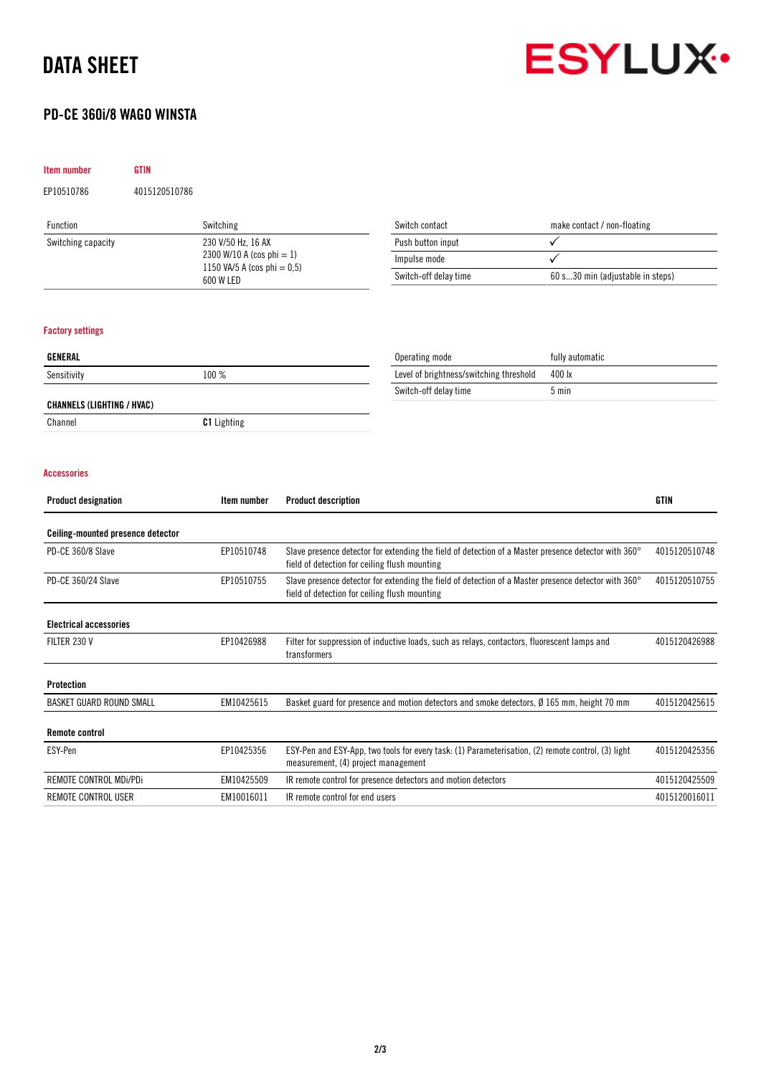# DATA SHEET

Item number GTIN

Remote control

# PD-CE 360i/8 WAGO WINSTA

EP10510786 4015120510786



4015120425356

| Function                                                | Switching                                   | Switch contact                                                                                                                                        | make contact / non-floating      |               |
|---------------------------------------------------------|---------------------------------------------|-------------------------------------------------------------------------------------------------------------------------------------------------------|----------------------------------|---------------|
| Switching capacity                                      | 230 V/50 Hz. 16 AX                          | Push button input                                                                                                                                     | $\checkmark$                     |               |
|                                                         | 2300 W/10 A (cos phi = 1)                   | Impulse mode                                                                                                                                          | ✓                                |               |
|                                                         | 1150 VA/5 A (cos phi = $0,5$ )<br>600 W LED | Switch-off delay time                                                                                                                                 | 60 s30 min (adjustable in steps) |               |
| <b>Factory settings</b>                                 |                                             |                                                                                                                                                       |                                  |               |
| <b>GENERAL</b>                                          |                                             | Operating mode                                                                                                                                        | fully automatic                  |               |
| Sensitivity                                             | 100 %                                       | Level of brightness/switching threshold                                                                                                               | 400 lx                           |               |
|                                                         |                                             | Switch-off delay time                                                                                                                                 | $5 \text{ min}$                  |               |
| <b>CHANNELS (LIGHTING / HVAC)</b>                       |                                             |                                                                                                                                                       |                                  |               |
| Channel                                                 | <b>C1</b> Lighting                          |                                                                                                                                                       |                                  |               |
|                                                         |                                             |                                                                                                                                                       |                                  |               |
| <b>Product designation</b>                              | Item number                                 | <b>Product description</b>                                                                                                                            |                                  | <b>GTIN</b>   |
| <b>Accessories</b><br>Ceiling-mounted presence detector |                                             |                                                                                                                                                       |                                  |               |
| PD-CE 360/8 Slave                                       | EP10510748                                  | Slave presence detector for extending the field of detection of a Master presence detector with 360°<br>field of detection for ceiling flush mounting |                                  | 4015120510748 |
| PD-CE 360/24 Slave                                      | EP10510755                                  | Slave presence detector for extending the field of detection of a Master presence detector with 360°<br>field of detection for ceiling flush mounting |                                  | 4015120510755 |
| <b>Electrical accessories</b>                           |                                             |                                                                                                                                                       |                                  |               |

BASKET GUARD ROUND SMALL EM10425615 Basket guard for presence and motion detectors and smoke detectors, Ø 165 mm, height 70 mm 4015120425615

REMOTE CONTROL MDi/PDi EM10425509 IR remote control for presence detectors and motion detectors 4015120425509 REMOTE CONTROL USER **EM10016011** IR remote control for end users 4015120016011 4015120016011

ESY-Pen EP10425356 ESY-Pen and ESY-App, two tools for every task: (1) Parameterisation, (2) remote control, (3) light measurement, (4) project management

## 2/3